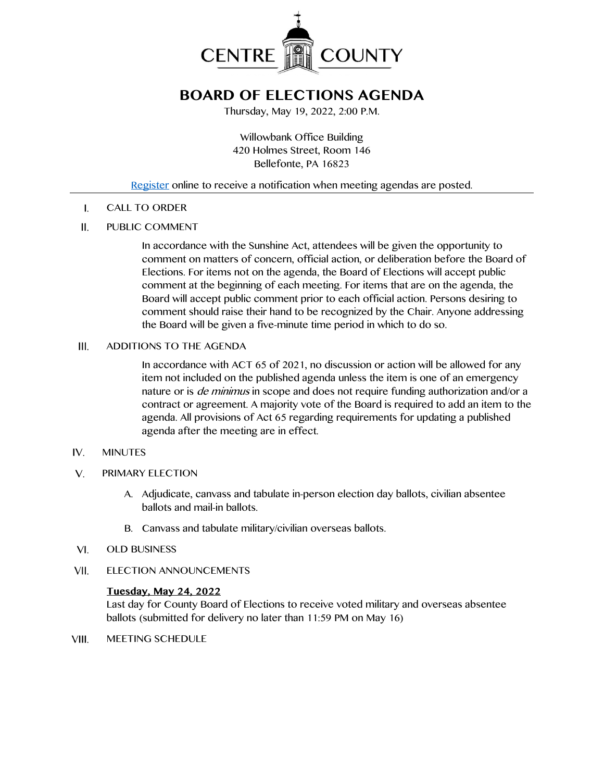

## **BOARD OF ELECTIONS AGENDA**

Thursday, May 19, 2022, 2:00 P.M.

Willowbank Office Building 420 Holmes Street, Room 146 Bellefonte, PA 16823

### [Register](http://www.centrecountypa.gov/AgendaCenter) online to receive a notification when meeting agendas are posted.

CALL TO ORDER  $\mathsf{L}$ 

#### $II.$ PUBLIC COMMENT

In accordance with the Sunshine Act, attendees will be given the opportunity to comment on matters of concern, official action, or deliberation before the Board of Elections. For items not on the agenda, the Board of Elections will accept public comment at the beginning of each meeting. For items that are on the agenda, the Board will accept public comment prior to each official action. Persons desiring to comment should raise their hand to be recognized by the Chair. Anyone addressing the Board will be given a five-minute time period in which to do so.

#### ADDITIONS TO THE AGENDA III.

In accordance with ACT 65 of 2021, no discussion or action will be allowed for any item not included on the published agenda unless the item is one of an emergency nature or is *de minimus* in scope and does not require funding authorization and/or a contract or agreement. A majority vote of the Board is required to add an item to the agenda. All provisions of Act 65 regarding requirements for updating a published agenda after the meeting are in effect.

#### $IV.$ MINUTES

- $V_{1}$ PRIMARY ELECTION
	- A. Adjudicate, canvass and tabulate in-person election day ballots, civilian absentee ballots and mail-in ballots.
	- B. Canvass and tabulate military/civilian overseas ballots.
- $VI.$ OLD BUSINESS
- VII. ELECTION ANNOUNCEMENTS

### **Tuesday, May 24, 2022**

Last day for County Board of Elections to receive voted military and overseas absentee ballots (submitted for delivery no later than 11:59 PM on May 16)

VIII. MEETING SCHEDULE